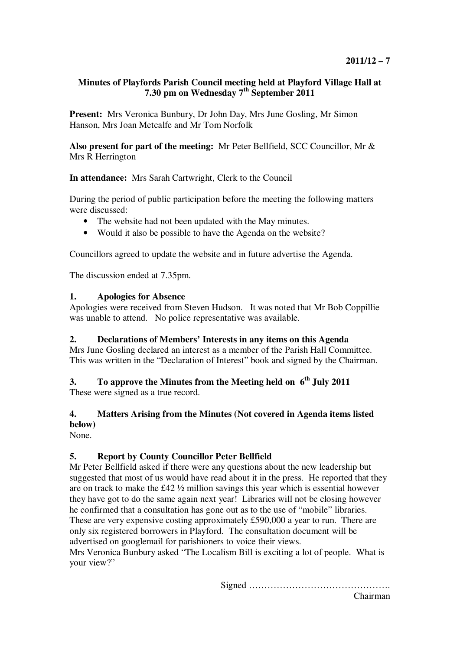#### **Minutes of Playfords Parish Council meeting held at Playford Village Hall at 7.30 pm on Wednesday 7th September 2011**

**Present:** Mrs Veronica Bunbury, Dr John Day, Mrs June Gosling, Mr Simon Hanson, Mrs Joan Metcalfe and Mr Tom Norfolk

**Also present for part of the meeting:** Mr Peter Bellfield, SCC Councillor, Mr & Mrs R Herrington

**In attendance:** Mrs Sarah Cartwright, Clerk to the Council

During the period of public participation before the meeting the following matters were discussed:

- The website had not been updated with the May minutes.
- Would it also be possible to have the Agenda on the website?

Councillors agreed to update the website and in future advertise the Agenda.

The discussion ended at 7.35pm.

#### **1. Apologies for Absence**

Apologies were received from Steven Hudson. It was noted that Mr Bob Coppillie was unable to attend. No police representative was available.

#### **2. Declarations of Members' Interests in any items on this Agenda**

Mrs June Gosling declared an interest as a member of the Parish Hall Committee. This was written in the "Declaration of Interest" book and signed by the Chairman.

# **3. To approve the Minutes from the Meeting held on 6th July 2011**

These were signed as a true record.

## **4. Matters Arising from the Minutes (Not covered in Agenda items listed below)**

None.

## **5. Report by County Councillor Peter Bellfield**

Mr Peter Bellfield asked if there were any questions about the new leadership but suggested that most of us would have read about it in the press. He reported that they are on track to make the £42 ½ million savings this year which is essential however they have got to do the same again next year! Libraries will not be closing however he confirmed that a consultation has gone out as to the use of "mobile" libraries. These are very expensive costing approximately £590,000 a year to run. There are only six registered borrowers in Playford. The consultation document will be advertised on googlemail for parishioners to voice their views.

Mrs Veronica Bunbury asked "The Localism Bill is exciting a lot of people. What is your view?"

Signed ……………………………………….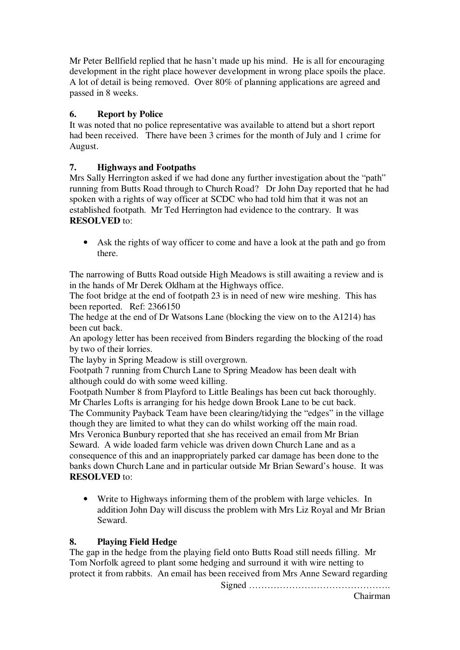Mr Peter Bellfield replied that he hasn't made up his mind. He is all for encouraging development in the right place however development in wrong place spoils the place. A lot of detail is being removed. Over 80% of planning applications are agreed and passed in 8 weeks.

## **6. Report by Police**

It was noted that no police representative was available to attend but a short report had been received. There have been 3 crimes for the month of July and 1 crime for August.

## **7. Highways and Footpaths**

Mrs Sally Herrington asked if we had done any further investigation about the "path" running from Butts Road through to Church Road? Dr John Day reported that he had spoken with a rights of way officer at SCDC who had told him that it was not an established footpath. Mr Ted Herrington had evidence to the contrary. It was **RESOLVED** to:

• Ask the rights of way officer to come and have a look at the path and go from there.

The narrowing of Butts Road outside High Meadows is still awaiting a review and is in the hands of Mr Derek Oldham at the Highways office.

The foot bridge at the end of footpath 23 is in need of new wire meshing. This has been reported. Ref: 2366150

The hedge at the end of Dr Watsons Lane (blocking the view on to the A1214) has been cut back.

An apology letter has been received from Binders regarding the blocking of the road by two of their lorries.

The layby in Spring Meadow is still overgrown.

Footpath 7 running from Church Lane to Spring Meadow has been dealt with although could do with some weed killing.

Footpath Number 8 from Playford to Little Bealings has been cut back thoroughly. Mr Charles Lofts is arranging for his hedge down Brook Lane to be cut back.

The Community Payback Team have been clearing/tidying the "edges" in the village though they are limited to what they can do whilst working off the main road. Mrs Veronica Bunbury reported that she has received an email from Mr Brian Seward. A wide loaded farm vehicle was driven down Church Lane and as a consequence of this and an inappropriately parked car damage has been done to the banks down Church Lane and in particular outside Mr Brian Seward's house. It was **RESOLVED** to:

• Write to Highways informing them of the problem with large vehicles. In addition John Day will discuss the problem with Mrs Liz Royal and Mr Brian Seward.

#### **8. Playing Field Hedge**

The gap in the hedge from the playing field onto Butts Road still needs filling. Mr Tom Norfolk agreed to plant some hedging and surround it with wire netting to protect it from rabbits. An email has been received from Mrs Anne Seward regarding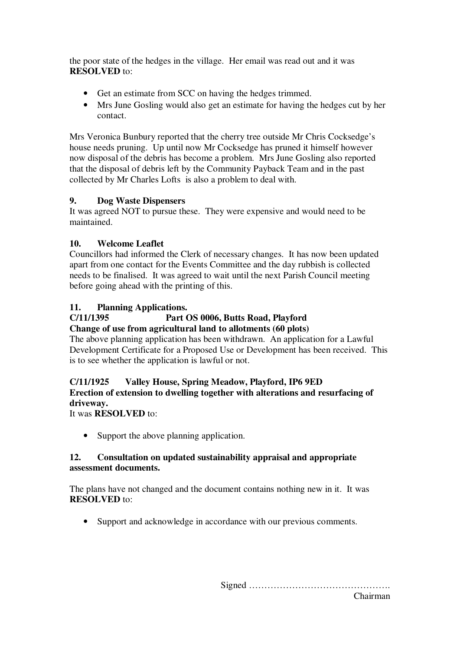the poor state of the hedges in the village. Her email was read out and it was **RESOLVED** to:

- Get an estimate from SCC on having the hedges trimmed.
- Mrs June Gosling would also get an estimate for having the hedges cut by her contact.

Mrs Veronica Bunbury reported that the cherry tree outside Mr Chris Cocksedge's house needs pruning. Up until now Mr Cocksedge has pruned it himself however now disposal of the debris has become a problem. Mrs June Gosling also reported that the disposal of debris left by the Community Payback Team and in the past collected by Mr Charles Lofts is also a problem to deal with.

## **9. Dog Waste Dispensers**

It was agreed NOT to pursue these. They were expensive and would need to be maintained.

## **10. Welcome Leaflet**

Councillors had informed the Clerk of necessary changes. It has now been updated apart from one contact for the Events Committee and the day rubbish is collected needs to be finalised. It was agreed to wait until the next Parish Council meeting before going ahead with the printing of this.

## **11. Planning Applications.**

# **C/11/1395 Part OS 0006, Butts Road, Playford**

#### **Change of use from agricultural land to allotments (60 plots)**

The above planning application has been withdrawn. An application for a Lawful Development Certificate for a Proposed Use or Development has been received. This is to see whether the application is lawful or not.

## **C/11/1925 Valley House, Spring Meadow, Playford, IP6 9ED Erection of extension to dwelling together with alterations and resurfacing of driveway.**

It was **RESOLVED** to:

• Support the above planning application.

## **12. Consultation on updated sustainability appraisal and appropriate assessment documents.**

The plans have not changed and the document contains nothing new in it. It was **RESOLVED** to:

• Support and acknowledge in accordance with our previous comments.